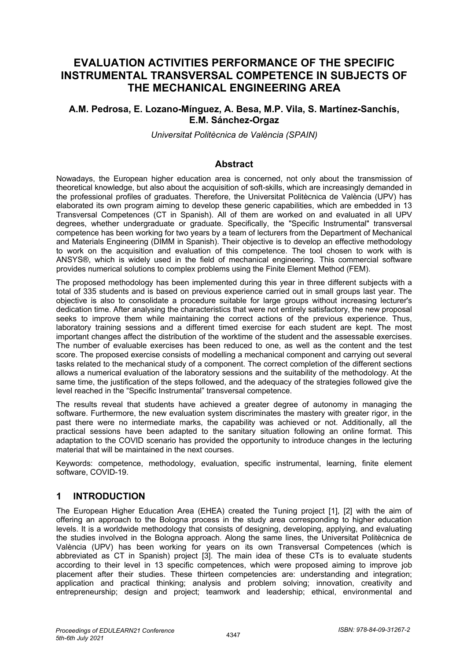# **EVALUATION ACTIVITIES PERFORMANCE OF THE SPECIFIC INSTRUMENTAL TRANSVERSAL COMPETENCE IN SUBJECTS OF THE MECHANICAL ENGINEERING AREA**

# **A.M. Pedrosa, E. Lozano-Mínguez, A. Besa, M.P. Vila, S. Martínez-Sanchís, E.M. Sánchez-Orgaz**

*Universitat Politècnica de València (SPAIN)*

## **Abstract**

Nowadays, the European higher education area is concerned, not only about the transmission of theoretical knowledge, but also about the acquisition of soft-skills, which are increasingly demanded in the professional profiles of graduates. Therefore, the Universitat Politècnica de València (UPV) has elaborated its own program aiming to develop these generic capabilities, which are embedded in 13 Transversal Competences (CT in Spanish). All of them are worked on and evaluated in all UPV degrees, whether undergraduate or graduate. Specifically, the "Specific Instrumental" transversal competence has been working for two years by a team of lecturers from the Department of Mechanical and Materials Engineering (DIMM in Spanish). Their objective is to develop an effective methodology to work on the acquisition and evaluation of this competence. The tool chosen to work with is ANSYS®, which is widely used in the field of mechanical engineering. This commercial software provides numerical solutions to complex problems using the Finite Element Method (FEM).

The proposed methodology has been implemented during this year in three different subjects with a total of 335 students and is based on previous experience carried out in small groups last year. The objective is also to consolidate a procedure suitable for large groups without increasing lecturer's dedication time. After analysing the characteristics that were not entirely satisfactory, the new proposal seeks to improve them while maintaining the correct actions of the previous experience. Thus, laboratory training sessions and a different timed exercise for each student are kept. The most important changes affect the distribution of the worktime of the student and the assessable exercises. The number of evaluable exercises has been reduced to one, as well as the content and the test score. The proposed exercise consists of modelling a mechanical component and carrying out several tasks related to the mechanical study of a component. The correct completion of the different sections allows a numerical evaluation of the laboratory sessions and the suitability of the methodology. At the same time, the justification of the steps followed, and the adequacy of the strategies followed give the level reached in the "Specific Instrumental" transversal competence.

The results reveal that students have achieved a greater degree of autonomy in managing the software. Furthermore, the new evaluation system discriminates the mastery with greater rigor, in the past there were no intermediate marks, the capability was achieved or not. Additionally, all the practical sessions have been adapted to the sanitary situation following an online format. This adaptation to the COVID scenario has provided the opportunity to introduce changes in the lecturing material that will be maintained in the next courses.

Keywords: competence, methodology, evaluation, specific instrumental, learning, finite element software, COVID-19.

## **1 INTRODUCTION**

The European Higher Education Area (EHEA) created the Tuning project [1], [2] with the aim of offering an approach to the Bologna process in the study area corresponding to higher education levels. It is a worldwide methodology that consists of designing, developing, applying, and evaluating the studies involved in the Bologna approach. Along the same lines, the Universitat Politècnica de València (UPV) has been working for years on its own Transversal Competences (which is abbreviated as CT in Spanish) project [3]. The main idea of these CTs is to evaluate students according to their level in 13 specific competences, which were proposed aiming to improve job placement after their studies. These thirteen competencies are: understanding and integration; application and practical thinking; analysis and problem solving; innovation, creativity and entrepreneurship; design and project; teamwork and leadership; ethical, environmental and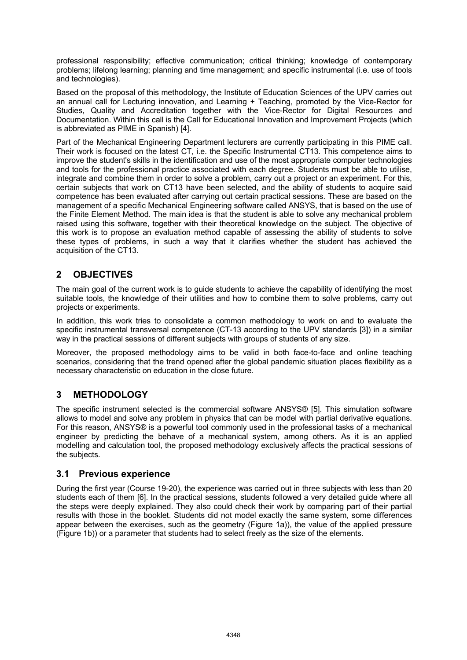professional responsibility; effective communication; critical thinking; knowledge of contemporary problems; lifelong learning; planning and time management; and specific instrumental (i.e. use of tools and technologies).

Based on the proposal of this methodology, the Institute of Education Sciences of the UPV carries out an annual call for Lecturing innovation, and Learning + Teaching, promoted by the Vice-Rector for Studies, Quality and Accreditation together with the Vice-Rector for Digital Resources and Documentation. Within this call is the Call for Educational Innovation and Improvement Projects (which is abbreviated as PIME in Spanish) [4].

Part of the Mechanical Engineering Department lecturers are currently participating in this PIME call. Their work is focused on the latest CT, i.e. the Specific Instrumental CT13. This competence aims to improve the student's skills in the identification and use of the most appropriate computer technologies and tools for the professional practice associated with each degree. Students must be able to utilise, integrate and combine them in order to solve a problem, carry out a project or an experiment. For this, certain subjects that work on CT13 have been selected, and the ability of students to acquire said competence has been evaluated after carrying out certain practical sessions. These are based on the management of a specific Mechanical Engineering software called ANSYS, that is based on the use of the Finite Element Method. The main idea is that the student is able to solve any mechanical problem raised using this software, together with their theoretical knowledge on the subject. The objective of this work is to propose an evaluation method capable of assessing the ability of students to solve these types of problems, in such a way that it clarifies whether the student has achieved the acquisition of the CT13.

# **2 OBJECTIVES**

The main goal of the current work is to guide students to achieve the capability of identifying the most suitable tools, the knowledge of their utilities and how to combine them to solve problems, carry out projects or experiments.

In addition, this work tries to consolidate a common methodology to work on and to evaluate the specific instrumental transversal competence (CT-13 according to the UPV standards [3]) in a similar way in the practical sessions of different subjects with groups of students of any size.

Moreover, the proposed methodology aims to be valid in both face-to-face and online teaching scenarios, considering that the trend opened after the global pandemic situation places flexibility as a necessary characteristic on education in the close future.

# **3 METHODOLOGY**

The specific instrument selected is the commercial software ANSYS® [5]. This simulation software allows to model and solve any problem in physics that can be model with partial derivative equations. For this reason, ANSYS® is a powerful tool commonly used in the professional tasks of a mechanical engineer by predicting the behave of a mechanical system, among others. As it is an applied modelling and calculation tool, the proposed methodology exclusively affects the practical sessions of the subjects.

## **3.1 Previous experience**

During the first year (Course 19-20), the experience was carried out in three subjects with less than 20 students each of them [6]. In the practical sessions, students followed a very detailed guide where all the steps were deeply explained. They also could check their work by comparing part of their partial results with those in the booklet. Students did not model exactly the same system, some differences appear between the exercises, such as the geometry (Figure 1a)), the value of the applied pressure (Figure 1b)) or a parameter that students had to select freely as the size of the elements.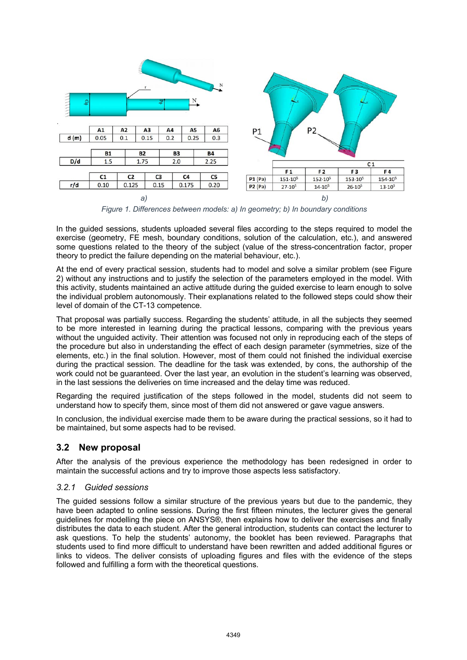

*Figure 1. Differences between models: a) In geometry; b) In boundary conditions*

In the guided sessions, students uploaded several files according to the steps required to model the exercise (geometry, FE mesh, boundary conditions, solution of the calculation, etc.), and answered some questions related to the theory of the subject (value of the stress-concentration factor, proper theory to predict the failure depending on the material behaviour, etc.).

At the end of every practical session, students had to model and solve a similar problem (see Figure 2) without any instructions and to justify the selection of the parameters employed in the model. With this activity, students maintained an active attitude during the guided exercise to learn enough to solve the individual problem autonomously. Their explanations related to the followed steps could show their level of domain of the CT-13 competence.

That proposal was partially success. Regarding the students' attitude, in all the subjects they seemed to be more interested in learning during the practical lessons, comparing with the previous years without the unguided activity. Their attention was focused not only in reproducing each of the steps of the procedure but also in understanding the effect of each design parameter (symmetries, size of the elements, etc.) in the final solution. However, most of them could not finished the individual exercise during the practical session. The deadline for the task was extended, by cons, the authorship of the work could not be guaranteed. Over the last year, an evolution in the student's learning was observed, in the last sessions the deliveries on time increased and the delay time was reduced.

Regarding the required justification of the steps followed in the model, students did not seem to understand how to specify them, since most of them did not answered or gave vague answers.

In conclusion, the individual exercise made them to be aware during the practical sessions, so it had to be maintained, but some aspects had to be revised.

# **3.2 New proposal**

After the analysis of the previous experience the methodology has been redesigned in order to maintain the successful actions and try to improve those aspects less satisfactory.

### *3.2.1 Guided sessions*

The guided sessions follow a similar structure of the previous years but due to the pandemic, they have been adapted to online sessions. During the first fifteen minutes, the lecturer gives the general guidelines for modelling the piece on ANSYS®, then explains how to deliver the exercises and finally distributes the data to each student. After the general introduction, students can contact the lecturer to ask questions. To help the students' autonomy, the booklet has been reviewed. Paragraphs that students used to find more difficult to understand have been rewritten and added additional figures or links to videos. The deliver consists of uploading figures and files with the evidence of the steps followed and fulfilling a form with the theoretical questions.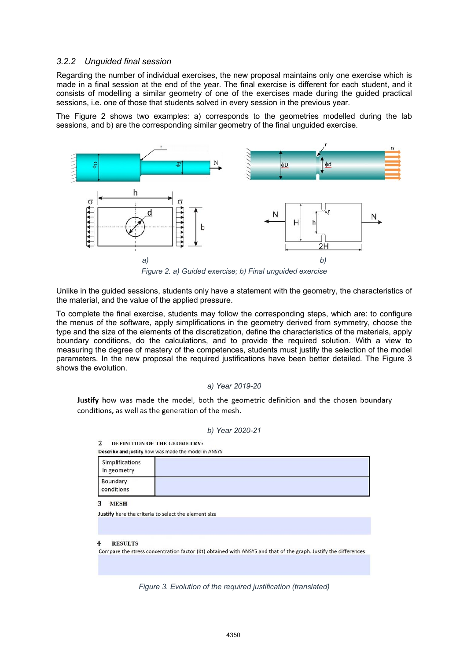#### *3.2.2 Unguided final session*

Regarding the number of individual exercises, the new proposal maintains only one exercise which is made in a final session at the end of the year. The final exercise is different for each student, and it consists of modelling a similar geometry of one of the exercises made during the guided practical sessions, i.e. one of those that students solved in every session in the previous year.

The Figure 2 shows two examples: a) corresponds to the geometries modelled during the lab sessions, and b) are the corresponding similar geometry of the final unguided exercise.



*Figure 2. a) Guided exercise; b) Final unguided exercise*

Unlike in the guided sessions, students only have a statement with the geometry, the characteristics of the material, and the value of the applied pressure.

To complete the final exercise, students may follow the corresponding steps, which are: to configure the menus of the software, apply simplifications in the geometry derived from symmetry, choose the type and the size of the elements of the discretization, define the characteristics of the materials, apply boundary conditions, do the calculations, and to provide the required solution. With a view to measuring the degree of mastery of the competences, students must justify the selection of the model parameters. In the new proposal the required justifications have been better detailed. The Figure 3 shows the evolution.

#### *a) Year 2019-20*

Justify how was made the model, both the geometric definition and the chosen boundary conditions, as well as the generation of the mesh.

#### $\overline{\mathbf{z}}$ DEFINITION OF THE GEOMETRY:

| Describe and justify how was made the model in ANSYS |  |  |  |  |
|------------------------------------------------------|--|--|--|--|
| Simplifications<br>in geometry                       |  |  |  |  |
| Boundary<br>conditions                               |  |  |  |  |

3 MESH

Justify here the criteria to select the element size

**RESULTS** Compare the stress concentration factor (Kt) obtained with ANSYS and that of the graph. Justify the differences

*Figure 3. Evolution of the required justification (translated)*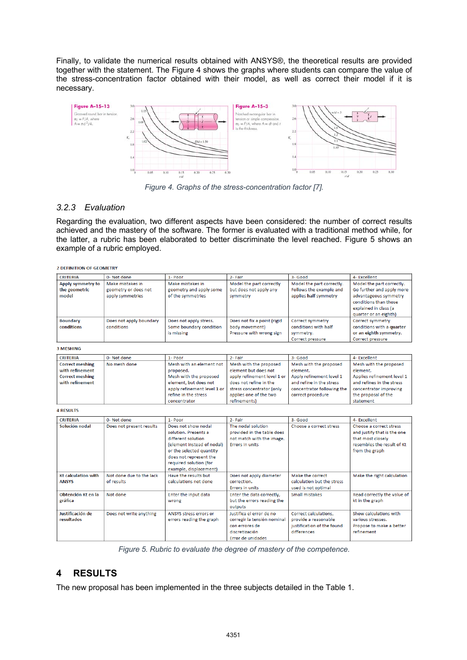Finally, to validate the numerical results obtained with ANSYS®, the theoretical results are provided together with the statement. The Figure 4 shows the graphs where students can compare the value of the stress-concentration factor obtained with their model, as well as correct their model if it is necessary.



*Figure 4. Graphs of the stress-concentration factor [7].*

## *3.2.3 Evaluation*

Regarding the evaluation, two different aspects have been considered: the number of correct results achieved and the mastery of the software. The former is evaluated with a traditional method while, for the latter, a rubric has been elaborated to better discriminate the level reached. Figure 5 shows an example of a rubric employed.

**2 DEFINITION OF GEOMETRY** 

| <b>CRITERIA</b>                             | 0- Not done                                                  | $1 -$ Poor                                                       | 2- Fair                                                                   | 3-Good                                                                        | 4- Excellent                                                                                                                                               |
|---------------------------------------------|--------------------------------------------------------------|------------------------------------------------------------------|---------------------------------------------------------------------------|-------------------------------------------------------------------------------|------------------------------------------------------------------------------------------------------------------------------------------------------------|
| Apply symmetry to<br>the geometric<br>model | Make mistakes in<br>geometry or does not<br>apply symmetries | Make mistakes in<br>geometry and apply some<br>of the symmetries | Model the part correctly<br>but does not apply any<br>symmetry            | Model the part correctly.<br>Follows the example and<br>applies half symmetry | Model the part correctly.<br>Go further and apply more<br>advantageous symmetry<br>conditions than those<br>explained in class (a<br>quarter or an eighth) |
| <b>Boundary</b><br>conditions               | Does not apply boundary<br>conditions                        | Does not apply stress.<br>Some boundary condition<br>is missing  | Does not fix a point (rigid<br>body movement)<br>Pressure with wrong sign | Correct symmetry<br>conditions with half<br>symmetry.<br>Correct pressure     | Correct symmetry<br>conditions with a quarter<br>or an eighth symmetry.<br>Correct pressure                                                                |

**3 MESHING** 

| <b>CRITERIA</b>        | 0- Not done  | $1 -$ Poor                  | 2- Fair                     | 3- Good                    | 4- Excellent               |
|------------------------|--------------|-----------------------------|-----------------------------|----------------------------|----------------------------|
| <b>Correct meshing</b> | No mesh done | Mesh with an element not    | Mesh with the proposed      | Mesh with the proposed     | Mesh with the proposed     |
| with refinement        |              | proposed.                   | element but does not        | element.                   | element.                   |
| <b>Correct meshing</b> |              | Mesh with the proposed      | apply refinement level 1 or | Apply refinement level 1   | Applies refinement level 1 |
| with refinement        |              | element, but does not       | does not refine in the      | and refine in the stress   | and refines in the stress  |
|                        |              | apply refinement level 1 or | stress concentrator (only   | concentrator following the | concentrator improving     |
|                        |              | refine in the stress        | applies one of the two      | correct procedure          | the proposal of the        |
|                        |              | concentrator                | refinements)                |                            | statement                  |

**4 RESULTS** 

| <b>CRITERIA</b>                            | 0- Not done                            | 1- Poor                                                                                                                                                                                                   | 2- Fair                                                                                                          | 3- Good                                                                                    | 4- Excellent                                                                                                                |
|--------------------------------------------|----------------------------------------|-----------------------------------------------------------------------------------------------------------------------------------------------------------------------------------------------------------|------------------------------------------------------------------------------------------------------------------|--------------------------------------------------------------------------------------------|-----------------------------------------------------------------------------------------------------------------------------|
| Solución nodal                             | Does not present results               | Does not show nodal<br>solution. Presents a<br>different solution<br>(element instead of nodal)<br>or the selected quantity<br>does not represent the<br>required solution (for<br>example, displacement) | The nodal solution<br>provided in the table does<br>not match with the image.<br>Errors in units                 | Choose a correct stress                                                                    | Choose a correct stress<br>and justify that is the one<br>that most closely<br>resembles the result of Kt<br>from the graph |
| <b>Kt calculation with</b><br><b>ANSYS</b> | Not done due to the lack<br>of results | Have the results but<br>calculations not done                                                                                                                                                             | Does not apply diameter<br>correction.<br><b>Errors in units</b>                                                 | Make the correct<br>calculation but the stress<br>used is not optimal                      | Make the right calculation                                                                                                  |
| Obtención Kt en la<br>gráfica              | Not done                               | Enter the input data<br>wrong                                                                                                                                                                             | Enter the data correctly,<br>but the errors reading the<br>outputs                                               | Small mistakes                                                                             | Read correctly the value of<br>kt in the graph                                                                              |
| Justificación de<br>resultados             | Does not write anything                | ANSYS stress errors or<br>errors reading the graph                                                                                                                                                        | Justifica el error de no<br>corregir la tensión nominal<br>con errores de<br>discretización<br>Error de unidades | Correct calculations,<br>provide a reasonable<br>justification of the found<br>differences | Show calculations with<br>various stresses.<br>Propose to make a better<br>refinement                                       |

*Figure 5. Rubric to evaluate the degree of mastery of the competence.*

# **4 RESULTS**

The new proposal has been implemented in the three subjects detailed in the Table 1.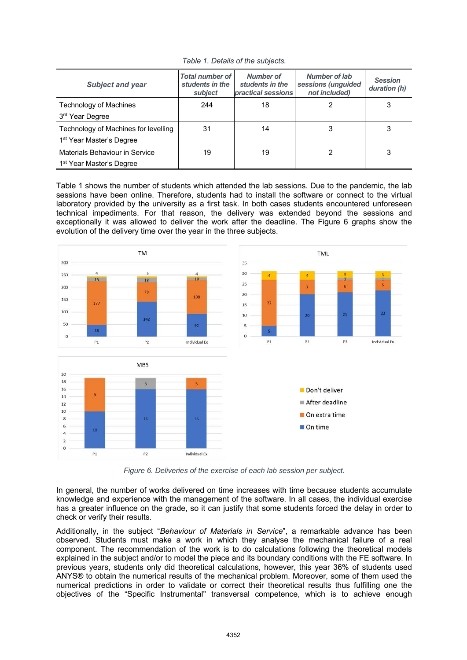| <b>Subject and year</b>                                                      | <b>Total number of</b><br>students in the<br>subject | Number of<br>students in the<br>practical sessions | <b>Number of lab</b><br>sessions (unguided<br>not included) | <b>Session</b><br>duration (h) |
|------------------------------------------------------------------------------|------------------------------------------------------|----------------------------------------------------|-------------------------------------------------------------|--------------------------------|
| Technology of Machines<br>3 <sup>rd</sup> Year Degree                        | 244                                                  | 18                                                 |                                                             | 3                              |
| Technology of Machines for levelling<br>1 <sup>st</sup> Year Master's Degree | 31                                                   | 14                                                 | 3                                                           | 3                              |
| Materials Behaviour in Service<br>1 <sup>st</sup> Year Master's Degree       | 19                                                   | 19                                                 | 2                                                           | 3                              |

*Table 1. Details of the subjects.*

Table 1 shows the number of students which attended the lab sessions. Due to the pandemic, the lab sessions have been online. Therefore, students had to install the software or connect to the virtual laboratory provided by the university as a first task. In both cases students encountered unforeseen technical impediments. For that reason, the delivery was extended beyond the sessions and exceptionally it was allowed to deliver the work after the deadline. The Figure 6 graphs show the evolution of the delivery time over the year in the three subjects.



*Figure 6. Deliveries of the exercise of each lab session per subject.* 

In general, the number of works delivered on time increases with time because students accumulate knowledge and experience with the management of the software. In all cases, the individual exercise has a greater influence on the grade, so it can justify that some students forced the delay in order to check or verify their results.

Additionally, in the subject "*Behaviour of Materials in Service*", a remarkable advance has been observed. Students must make a work in which they analyse the mechanical failure of a real component. The recommendation of the work is to do calculations following the theoretical models explained in the subject and/or to model the piece and its boundary conditions with the FE software. In previous years, students only did theoretical calculations, however, this year 36% of students used ANYS® to obtain the numerical results of the mechanical problem. Moreover, some of them used the numerical predictions in order to validate or correct their theoretical results thus fulfilling one the objectives of the "Specific Instrumental" transversal competence, which is to achieve enough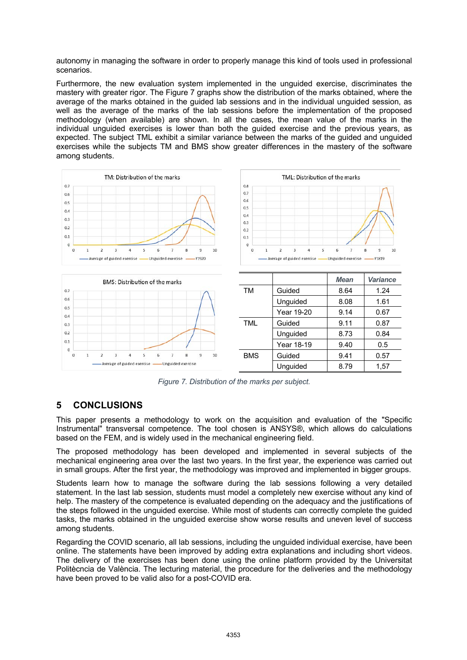autonomy in managing the software in order to properly manage this kind of tools used in professional scenarios.

Furthermore, the new evaluation system implemented in the unguided exercise, discriminates the mastery with greater rigor. The Figure 7 graphs show the distribution of the marks obtained, where the average of the marks obtained in the guided lab sessions and in the individual unguided session, as well as the average of the marks of the lab sessions before the implementation of the proposed methodology (when available) are shown. In all the cases, the mean value of the marks in the individual unguided exercises is lower than both the guided exercise and the previous years, as expected. The subject TML exhibit a similar variance between the marks of the guided and unguided exercises while the subjects TM and BMS show greater differences in the mastery of the software among students.



*Figure 7. Distribution of the marks per subject.*

# **5 CONCLUSIONS**

This paper presents a methodology to work on the acquisition and evaluation of the "Specific Instrumental" transversal competence. The tool chosen is ANSYS®, which allows do calculations based on the FEM, and is widely used in the mechanical engineering field.

The proposed methodology has been developed and implemented in several subjects of the mechanical engineering area over the last two years. In the first year, the experience was carried out in small groups. After the first year, the methodology was improved and implemented in bigger groups.

Students learn how to manage the software during the lab sessions following a very detailed statement. In the last lab session, students must model a completely new exercise without any kind of help. The mastery of the competence is evaluated depending on the adequacy and the justifications of the steps followed in the unguided exercise. While most of students can correctly complete the guided tasks, the marks obtained in the unguided exercise show worse results and uneven level of success among students.

Regarding the COVID scenario, all lab sessions, including the unguided individual exercise, have been online. The statements have been improved by adding extra explanations and including short videos. The delivery of the exercises has been done using the online platform provided by the Universitat Politècncia de València. The lecturing material, the procedure for the deliveries and the methodology have been proved to be valid also for a post-COVID era.